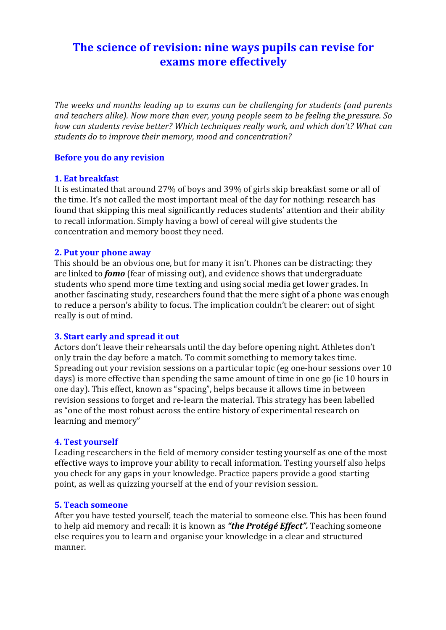# The science of revision: nine ways pupils can revise for **exams more effectively**

The weeks and months leading up to exams can be challenging for students (and parents and teachers alike). Now more than ever, young people seem to be feeling the pressure. So *how can students revise better? Which techniques really work, and which don't? What can* students do to *improve their memory, mood and concentration?* 

# **Before you do any revision**

# **1. Eat breakfast**

It is estimated that around 27% of boys and 39% of girls skip breakfast some or all of the time. It's not called the most important meal of the day for nothing: research has found that skipping this meal significantly reduces students' attention and their ability to recall information. Simply having a bowl of cereal will give students the concentration and memory boost they need.

## **2. Put your phone away**

This should be an obvious one, but for many it isn't. Phones can be distracting; they are linked to *fomo* (fear of missing out), and evidence shows that undergraduate students who spend more time texting and using social media get lower grades. In another fascinating study, researchers found that the mere sight of a phone was enough to reduce a person's ability to focus. The implication couldn't be clearer: out of sight really is out of mind.

# **3. Start early and spread it out**

Actors don't leave their rehearsals until the day before opening night. Athletes don't only train the day before a match. To commit something to memory takes time. Spreading out your revision sessions on a particular topic (eg one-hour sessions over 10 days) is more effective than spending the same amount of time in one go (ie 10 hours in one day). This effect, known as "spacing", helps because it allows time in between revision sessions to forget and re-learn the material. This strategy has been labelled as "one of the most robust across the entire history of experimental research on learning and memory"

#### **4. Test yourself**

Leading researchers in the field of memory consider testing yourself as one of the most effective ways to improve your ability to recall information. Testing yourself also helps you check for any gaps in your knowledge. Practice papers provide a good starting point, as well as quizzing yourself at the end of your revision session.

#### **5. Teach someone**

After you have tested yourself, teach the material to someone else. This has been found to help aid memory and recall: it is known as "the Protégé Effect". Teaching someone else requires you to learn and organise your knowledge in a clear and structured manner.